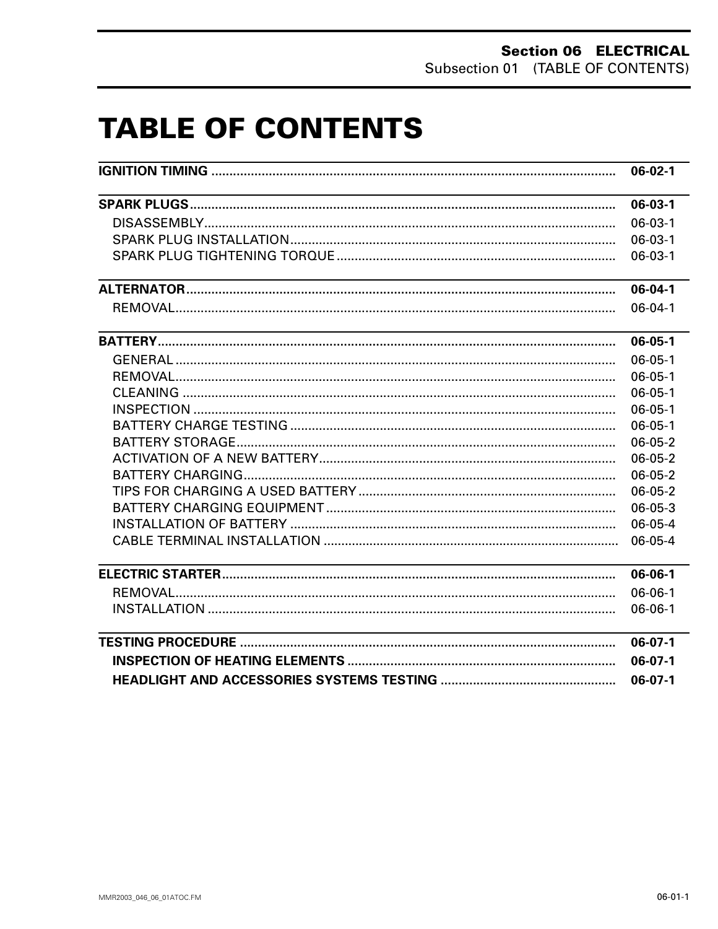# **TABLE OF CONTENTS**

| <u> 1980 - Johann Barn, mars ann an t-Amhainn an t-Amhainn an t-Amhainn an t-Amhainn an t-Amhainn an t-Amhainn a</u> | $06-03-1$     |
|----------------------------------------------------------------------------------------------------------------------|---------------|
|                                                                                                                      | $06-03-1$     |
|                                                                                                                      | $06-03-1$     |
|                                                                                                                      | $06-03-1$     |
| and the control of the control of the control of the control of the control of the control of the control of the     | $06-04-1$     |
|                                                                                                                      | $06 - 04 - 1$ |
|                                                                                                                      | $06 - 05 - 1$ |
|                                                                                                                      | $06 - 05 - 1$ |
|                                                                                                                      | $06 - 05 - 1$ |
|                                                                                                                      | $06 - 05 - 1$ |
|                                                                                                                      | $06 - 05 - 1$ |
|                                                                                                                      | $06 - 05 - 1$ |
|                                                                                                                      | 06-05-2       |
|                                                                                                                      | 06-05-2       |
|                                                                                                                      | $06-05-2$     |
|                                                                                                                      | $06 - 05 - 2$ |
|                                                                                                                      | 06-05-3       |
|                                                                                                                      | $06-05-4$     |
|                                                                                                                      | 06-05-4       |
|                                                                                                                      | 06-06-1       |
|                                                                                                                      | $06 - 06 - 1$ |
|                                                                                                                      | $06-06-1$     |
|                                                                                                                      | $06-07-1$     |
|                                                                                                                      | $06-07-1$     |
|                                                                                                                      | $06-07-1$     |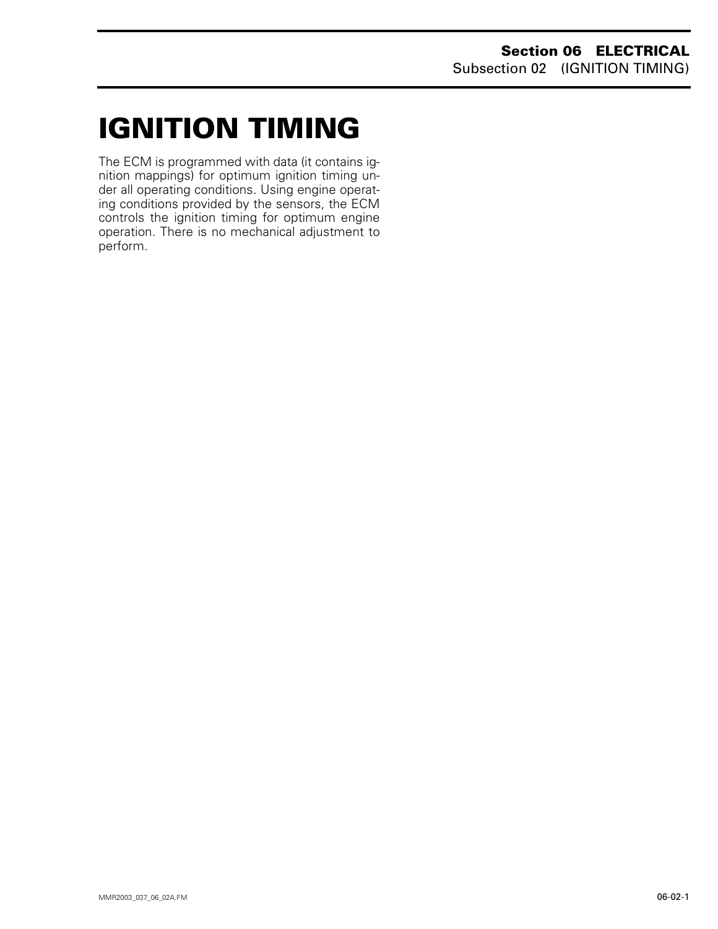# <span id="page-1-0"></span>**IGNITION TIMING 0**

The ECM is programmed with data (it contains ignition mappings) for optimum ignition timing under all operating conditions. Using engine operating conditions provided by the sensors, the ECM controls the ignition timing for optimum engine operation. There is no mechanical adjustment to perform.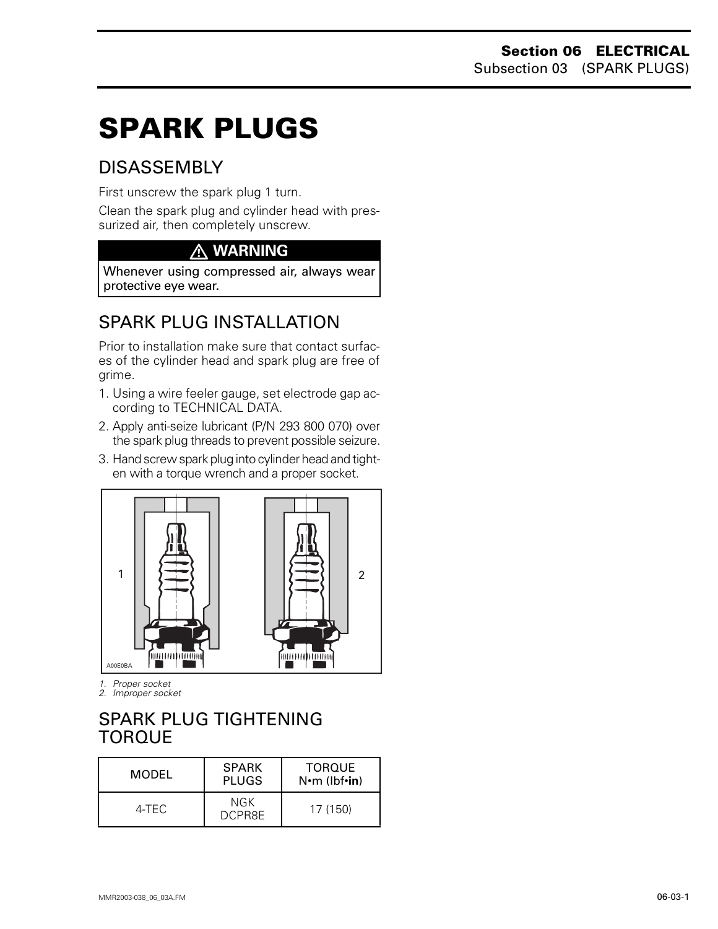# **SPARK PLUGS 0**

# DISASSEMBLY

First unscrew the spark plug 1 turn.

Clean the spark plug and cylinder head with pressurized air, then completely unscrew.

# **WARNING**

Whenever using compressed air, always wear protective eye wear.

# SPARK PLUG INSTALLATION

Prior to installation make sure that contact surfaces of the cylinder head and spark plug are free of grime.

- 1. Using a wire feeler gauge, set electrode gap according to TECHNICAL DATA.
- 2. Apply anti-seize lubricant (P/N 293 800 070) over the spark plug threads to prevent possible seizure.
- 3. Hand screw spark plug into cylinder head and tighten with a torque wrench and a proper socket.



*1. Proper socket*

*2. Improper socket*

# <span id="page-2-0"></span>SPARK PLUG TIGHTENING TORQUE

| MODEL | <b>SPARK</b><br><b>PLUGS</b> | <b>TOROUE</b><br>$N \cdot m$ (lbf $\cdot$ in) |
|-------|------------------------------|-----------------------------------------------|
| 4-TFC | NGK<br><b>DCPR8F</b>         | 17 (150)                                      |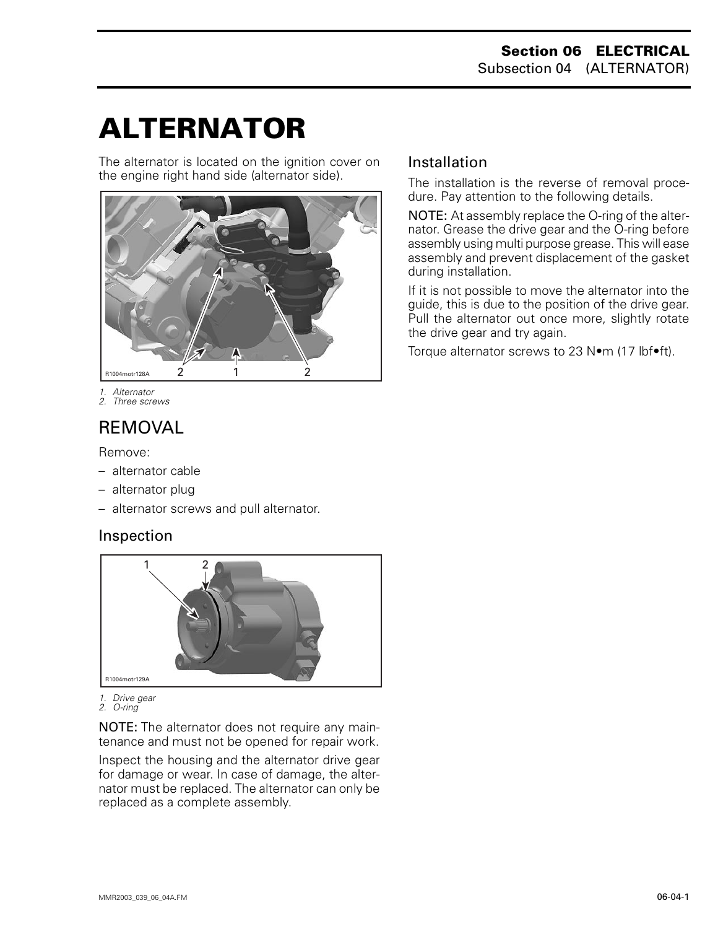# <span id="page-3-0"></span>**ALTERNATOR 0**

The alternator is located on the ignition cover on the engine right hand side (alternator side).



- *1. Alternator*
- *2. Three screws*

# REMOVAL

Remove:

- alternator cable
- alternator plug
- alternator screws and pull alternator.

#### Inspection



*1. Drive gear 2. O-ring*

NOTE: The alternator does not require any maintenance and must not be opened for repair work.

Inspect the housing and the alternator drive gear for damage or wear. In case of damage, the alternator must be replaced. The alternator can only be replaced as a complete assembly.

#### Installation

The installation is the reverse of removal procedure. Pay attention to the following details.

NOTE: At assembly replace the O-ring of the alternator. Grease the drive gear and the O-ring before assembly using multi purpose grease. This will ease assembly and prevent displacement of the gasket during installation.

If it is not possible to move the alternator into the guide, this is due to the position of the drive gear. Pull the alternator out once more, slightly rotate the drive gear and try again.

Torque alternator screws to 23 N•m (17 lbf•ft).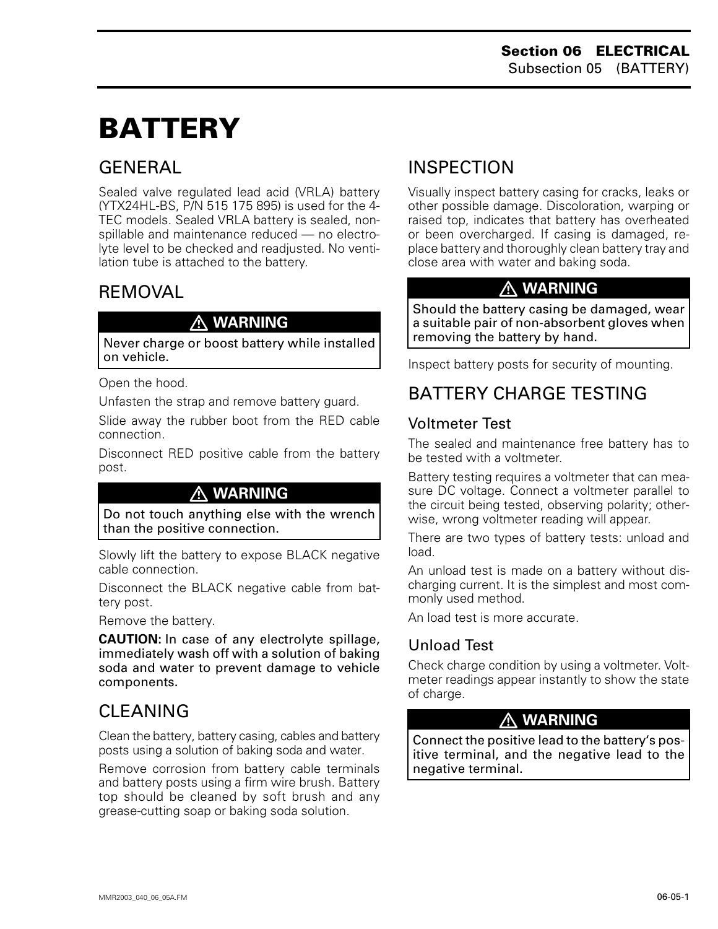# **BATTERY 0**

# **GENERAL**

Sealed valve regulated lead acid (VRLA) battery (YTX24HL-BS, P/N 515 175 895) is used for the 4- TEC models. Sealed VRLA battery is sealed, nonspillable and maintenance reduced — no electrolyte level to be checked and readjusted. No ventilation tube is attached to the battery.

# REMOVAL

#### **WARNING**

Never charge or boost battery while installed on vehicle.

Open the hood.

Unfasten the strap and remove battery guard.

Slide away the rubber boot from the RED cable connection.

Disconnect RED positive cable from the battery post.

## **WARNING**

Do not touch anything else with the wrench than the positive connection.

Slowly lift the battery to expose BLACK negative cable connection.

Disconnect the BLACK negative cable from battery post.

Remove the battery.

**CAUTION:** In case of any electrolyte spillage, immediately wash off with a solution of baking soda and water to prevent damage to vehicle components.

# CLEANING

Clean the battery, battery casing, cables and battery posts using a solution of baking soda and water.

Remove corrosion from battery cable terminals and battery posts using a firm wire brush. Battery top should be cleaned by soft brush and any grease-cutting soap or baking soda solution.

# INSPECTION

Visually inspect battery casing for cracks, leaks or other possible damage. Discoloration, warping or raised top, indicates that battery has overheated or been overcharged. If casing is damaged, replace battery and thoroughly clean battery tray and close area with water and baking soda.

# **WARNING**

Should the battery casing be damaged, wear a suitable pair of non-absorbent gloves when removing the battery by hand.

Inspect battery posts for security of mounting.

# <span id="page-4-0"></span>BATTERY CHARGE TESTING

# Voltmeter Test

The sealed and maintenance free battery has to be tested with a voltmeter.

Battery testing requires a voltmeter that can measure DC voltage. Connect a voltmeter parallel to the circuit being tested, observing polarity; otherwise, wrong voltmeter reading will appear.

There are two types of battery tests: unload and load.

An unload test is made on a battery without discharging current. It is the simplest and most commonly used method.

An load test is more accurate.

## Unload Test

Check charge condition by using a voltmeter. Voltmeter readings appear instantly to show the state of charge.

#### **WARNING**

Connect the positive lead to the battery's positive terminal, and the negative lead to the negative terminal.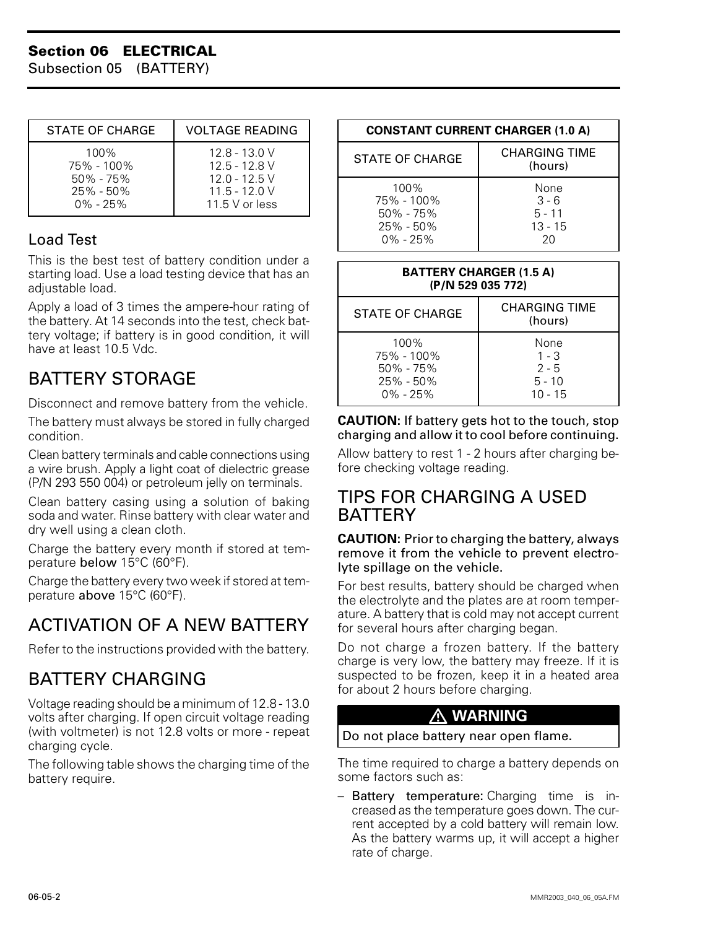#### **Section 06 ELECTRICAL**

Subsection 05 (BATTERY)

| STATE OF CHARGE | <b>VOLTAGE READING</b> |
|-----------------|------------------------|
| 100%            | 12.8 - 13.0 V          |
| 75% - 100%      | $12.5 - 12.8$ V        |
| $50\% - 75\%$   | $12.0 - 12.5$ V        |
| $25\% - 50\%$   | $11.5 - 12.0 V$        |
| $0\% - 25\%$    | 11.5 V or less         |

#### Load Test

This is the best test of battery condition under a starting load. Use a load testing device that has an adjustable load.

Apply a load of 3 times the ampere-hour rating of the battery. At 14 seconds into the test, check battery voltage; if battery is in good condition, it will have at least 10.5 Vdc.

# <span id="page-5-0"></span>BATTERY STORAGE

Disconnect and remove battery from the vehicle.

The battery must always be stored in fully charged condition.

Clean battery terminals and cable connections using a wire brush. Apply a light coat of dielectric grease (P/N 293 550 004) or petroleum jelly on terminals.

Clean battery casing using a solution of baking soda and water. Rinse battery with clear water and dry well using a clean cloth.

Charge the battery every month if stored at temperature below 15°C (60°F).

Charge the battery every two week if stored at temperature above 15°C (60°F).

# ACTIVATION OF A NEW BATTERY

Refer to the instructions provided with the battery.

# BATTERY CHARGING

Voltage reading should be a minimum of 12.8 - 13.0 volts after charging. If open circuit voltage reading (with voltmeter) is not 12.8 volts or more - repeat charging cycle.

The following table shows the charging time of the battery require.

| <b>CONSTANT CURRENT CHARGER (1.0 A)</b>                              |                                                |  |  |
|----------------------------------------------------------------------|------------------------------------------------|--|--|
| <b>STATE OF CHARGE</b>                                               | <b>CHARGING TIME</b><br>(hours)                |  |  |
| 100%<br>75% - 100%<br>$50\% - 75\%$<br>$25\% - 50\%$<br>$0\% - 25\%$ | None<br>$3 - 6$<br>$5 - 11$<br>$13 - 15$<br>20 |  |  |

| <b>BATTERY CHARGER (1.5 A)</b><br>(P/N 529 035 772)                     |                                                     |  |
|-------------------------------------------------------------------------|-----------------------------------------------------|--|
| STATE OF CHARGE                                                         | CHARGING TIME<br>(hours)                            |  |
| $100\%$<br>75% - 100%<br>$50\% - 75\%$<br>$25\% - 50\%$<br>$0\% - 25\%$ | None<br>$1 - 3$<br>$2 - 5$<br>$5 - 10$<br>$10 - 15$ |  |

#### **CAUTION:** If battery gets hot to the touch, stop charging and allow it to cool before continuing.

Allow battery to rest 1 - 2 hours after charging before checking voltage reading.

## TIPS FOR CHARGING A USED **BATTERY**

#### **CAUTION:** Prior to charging the battery, always remove it from the vehicle to prevent electrolyte spillage on the vehicle.

For best results, battery should be charged when the electrolyte and the plates are at room temperature. A battery that is cold may not accept current for several hours after charging began.

Do not charge a frozen battery. If the battery charge is very low, the battery may freeze. If it is suspected to be frozen, keep it in a heated area for about 2 hours before charging.

## **WARNING**

#### Do not place battery near open flame.

The time required to charge a battery depends on some factors such as:

– Battery temperature: Charging time is increased as the temperature goes down. The current accepted by a cold battery will remain low. As the battery warms up, it will accept a higher rate of charge.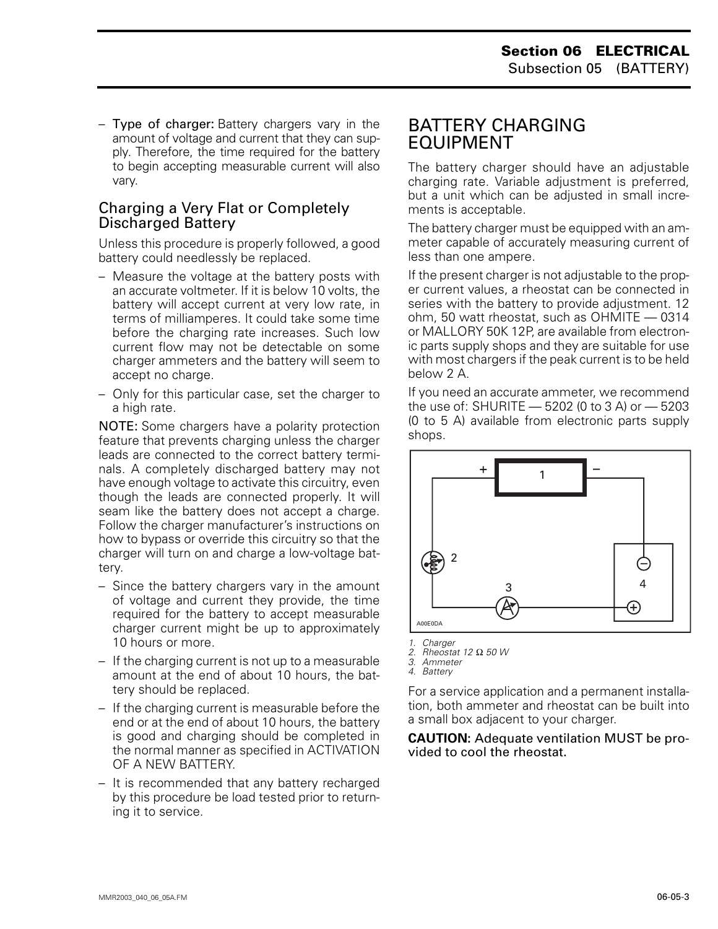– Type of charger: Battery chargers vary in the amount of voltage and current that they can supply. Therefore, the time required for the battery to begin accepting measurable current will also vary.

#### Charging a Very Flat or Completely Discharged Battery

Unless this procedure is properly followed, a good battery could needlessly be replaced.

- Measure the voltage at the battery posts with an accurate voltmeter. If it is below 10 volts, the battery will accept current at very low rate, in terms of milliamperes. It could take some time before the charging rate increases. Such low current flow may not be detectable on some charger ammeters and the battery will seem to accept no charge.
- Only for this particular case, set the charger to a high rate.

NOTE: Some chargers have a polarity protection feature that prevents charging unless the charger leads are connected to the correct battery terminals. A completely discharged battery may not have enough voltage to activate this circuitry, even though the leads are connected properly. It will seam like the battery does not accept a charge. Follow the charger manufacturer's instructions on how to bypass or override this circuitry so that the charger will turn on and charge a low-voltage battery.

- Since the battery chargers vary in the amount of voltage and current they provide, the time required for the battery to accept measurable charger current might be up to approximately 10 hours or more.
- If the charging current is not up to a measurable amount at the end of about 10 hours, the battery should be replaced.
- If the charging current is measurable before the end or at the end of about 10 hours, the battery is good and charging should be completed in the normal manner as specified in ACTIVATION OF A NEW BATTERY.
- It is recommended that any battery recharged by this procedure be load tested prior to returning it to service.

## <span id="page-6-0"></span>BATTERY CHARGING EQUIPMENT

The battery charger should have an adjustable charging rate. Variable adjustment is preferred, but a unit which can be adjusted in small increments is acceptable.

The battery charger must be equipped with an ammeter capable of accurately measuring current of less than one ampere.

If the present charger is not adjustable to the proper current values, a rheostat can be connected in series with the battery to provide adjustment. 12 ohm, 50 watt rheostat, such as OHMITE — 0314 or MALLORY 50K 12P, are available from electronic parts supply shops and they are suitable for use with most chargers if the peak current is to be held below 2 A.

If you need an accurate ammeter, we recommend the use of: SHURITE — 5202 (0 to 3 A) or — 5203 (0 to 5 A) available from electronic parts supply shops.



*1. Charger*

*2. Rheostat 12* Ω *50 W*

*3. Ammeter 4. Battery*

For a service application and a permanent installation, both ammeter and rheostat can be built into a small box adjacent to your charger.

**CAUTION:** Adequate ventilation MUST be provided to cool the rheostat.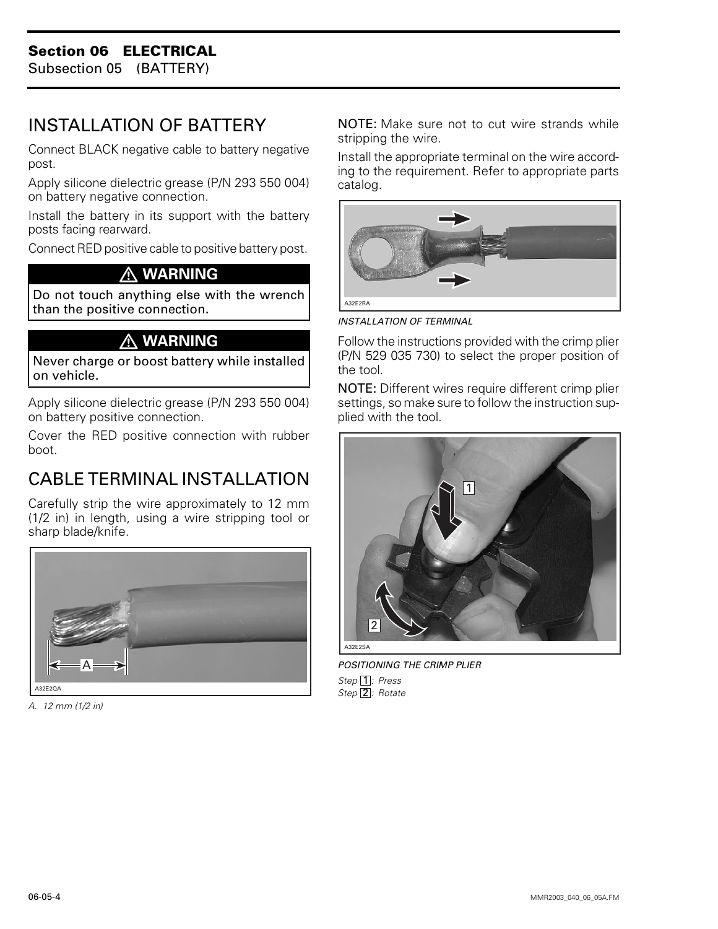Subsection 05 (BATTERY)

# <span id="page-7-0"></span>INSTALLATION OF BATTERY

Connect BLACK negative cable to battery negative post.

Apply silicone dielectric grease (P/N 293 550 004) on battery negative connection.

Install the battery in its support with the battery posts facing rearward.

Connect RED positive cable to positive battery post.

#### **WARNING**

Do not touch anything else with the wrench than the positive connection.

#### **WARNING**

Never charge or boost battery while installed on vehicle.

Apply silicone dielectric grease (P/N 293 550 004) on battery positive connection.

Cover the RED positive connection with rubber boot.

# CABLE TERMINAL INSTALLATION

Carefully strip the wire approximately to 12 mm (1/2 in) in length, using a wire stripping tool or sharp blade/knife.



*A. 12 mm (1/2 in)*

NOTE: Make sure not to cut wire strands while stripping the wire.

Install the appropriate terminal on the wire according to the requirement. Refer to appropriate parts catalog.



*INSTALLATION OF TERMINAL*

Follow the instructions provided with the crimp plier (P/N 529 035 730) to select the proper position of the tool.

NOTE: Different wires require different crimp plier settings, so make sure to follow the instruction supplied with the tool.



*POSITIONING THE CRIMP PLIER* Step 1: Press Step<sup>[2]</sup>: Rotate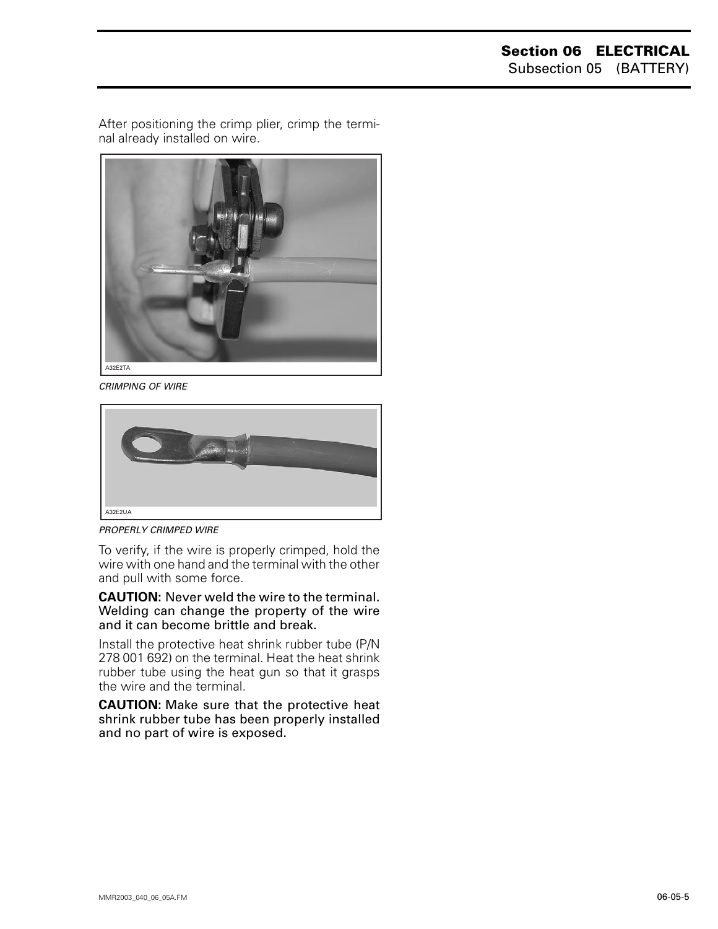After positioning the crimp plier, crimp the terminal already installed on wire.



*CRIMPING OF WIRE*



*PROPERLY CRIMPED WIRE*

To verify, if the wire is properly crimped, hold the wire with one hand and the terminal with the other and pull with some force.

**CAUTION:** Never weld the wire to the terminal. Welding can change the property of the wire and it can become brittle and break.

Install the protective heat shrink rubber tube (P/N 278 001 692) on the terminal. Heat the heat shrink rubber tube using the heat gun so that it grasps the wire and the terminal.

**CAUTION:** Make sure that the protective heat shrink rubber tube has been properly installed and no part of wire is exposed.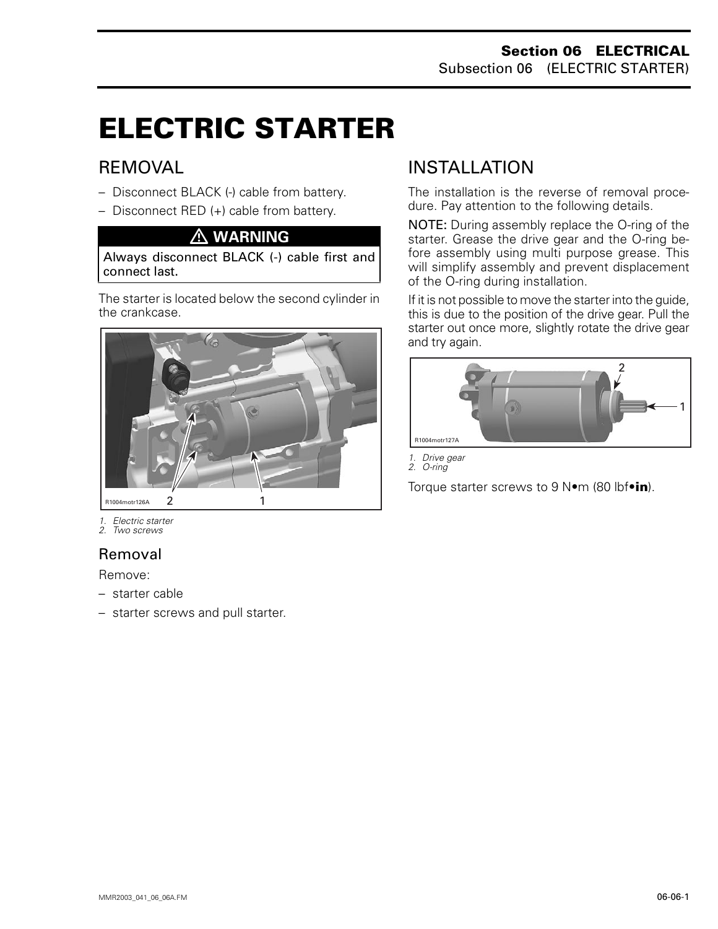# **ELECTRIC STARTER 0**

## REMOVAL

- Disconnect BLACK (-) cable from battery.
- Disconnect RED (+) cable from battery.

#### **WARNING**

Always disconnect BLACK (-) cable first and connect last.

The starter is located below the second cylinder in the crankcase.



*1. Electric starter*

*2. Two screws*

## Removal

Remove:

- starter cable
- starter screws and pull starter.

# <span id="page-9-0"></span>INSTALLATION

The installation is the reverse of removal procedure. Pay attention to the following details.

NOTE: During assembly replace the O-ring of the starter. Grease the drive gear and the O-ring before assembly using multi purpose grease. This will simplify assembly and prevent displacement of the O-ring during installation.

If it is not possible to move the starter into the guide, this is due to the position of the drive gear. Pull the starter out once more, slightly rotate the drive gear and try again.



*1. Drive gear 2. O-ring*

Torque starter screws to 9 N•m (80 lbf•**in**).